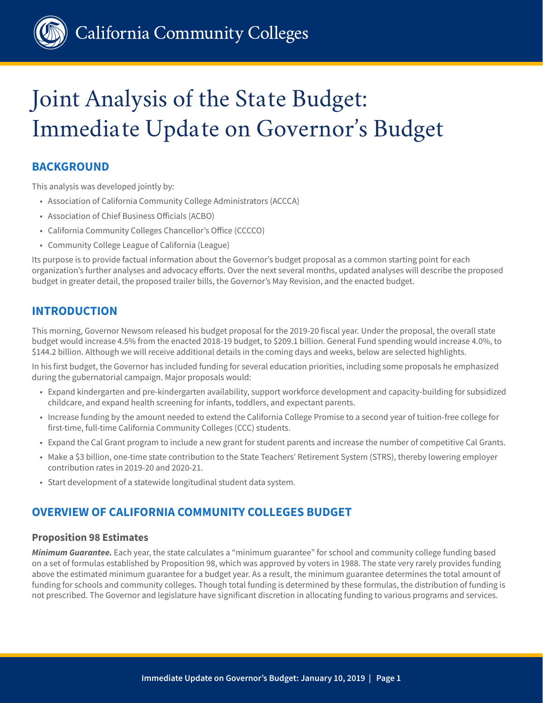

# Joint Analysis of the State Budget: Immediate Update on Governor's Budget

# **BACKGROUND**

This analysis was developed jointly by:

- Association of California Community College Administrators (ACCCA)
- Association of Chief Business Officials (ACBO)
- California Community Colleges Chancellor's Office (CCCCO)
- Community College League of California (League)

Its purpose is to provide factual information about the Governor's budget proposal as a common starting point for each organization's further analyses and advocacy efforts. Over the next several months, updated analyses will describe the proposed budget in greater detail, the proposed trailer bills, the Governor's May Revision, and the enacted budget.

# **INTRODUCTION**

This morning, Governor Newsom released his budget proposal for the 2019-20 fiscal year. Under the proposal, the overall state budget would increase 4.5% from the enacted 2018-19 budget, to \$209.1 billion. General Fund spending would increase 4.0%, to \$144.2 billion. Although we will receive additional details in the coming days and weeks, below are selected highlights.

In his first budget, the Governor has included funding for several education priorities, including some proposals he emphasized during the gubernatorial campaign. Major proposals would:

- Expand kindergarten and pre-kindergarten availability, support workforce development and capacity-building for subsidized childcare, and expand health screening for infants, toddlers, and expectant parents.
- Increase funding by the amount needed to extend the California College Promise to a second year of tuition-free college for first-time, full-time California Community Colleges (CCC) students.
- Expand the Cal Grant program to include a new grant for student parents and increase the number of competitive Cal Grants.
- Make a \$3 billion, one-time state contribution to the State Teachers' Retirement System (STRS), thereby lowering employer contribution rates in 2019-20 and 2020-21.
- Start development of a statewide longitudinal student data system.

## **OVERVIEW OF CALIFORNIA COMMUNITY COLLEGES BUDGET**

### **Proposition 98 Estimates**

*Minimum Guarantee.* Each year, the state calculates a "minimum guarantee" for school and community college funding based on a set of formulas established by Proposition 98, which was approved by voters in 1988. The state very rarely provides funding above the estimated minimum guarantee for a budget year. As a result, the minimum guarantee determines the total amount of funding for schools and community colleges. Though total funding is determined by these formulas, the distribution of funding is not prescribed. The Governor and legislature have significant discretion in allocating funding to various programs and services.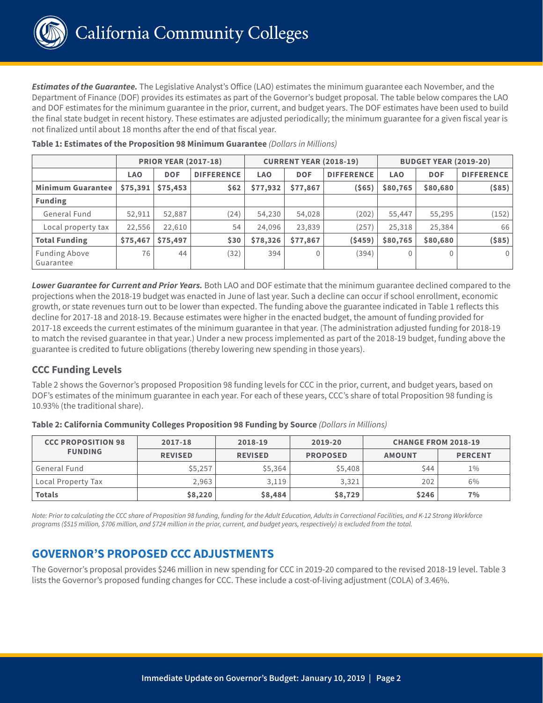

*Estimates of the Guarantee.* The Legislative Analyst's Office (LAO) estimates the minimum guarantee each November, and the Department of Finance (DOF) provides its estimates as part of the Governor's budget proposal. The table below compares the LAO and DOF estimates for the minimum guarantee in the prior, current, and budget years. The DOF estimates have been used to build the final state budget in recent history. These estimates are adjusted periodically; the minimum guarantee for a given fiscal year is not finalized until about 18 months after the end of that fiscal year.

|                                   | <b>PRIOR YEAR (2017-18)</b> |            | <b>CURRENT YEAR (2018-19)</b> |            |              | <b>BUDGET YEAR (2019-20)</b> |            |            |                   |
|-----------------------------------|-----------------------------|------------|-------------------------------|------------|--------------|------------------------------|------------|------------|-------------------|
|                                   | <b>LAO</b>                  | <b>DOF</b> | <b>DIFFERENCE</b>             | <b>LAO</b> | <b>DOF</b>   | <b>DIFFERENCE</b>            | <b>LAO</b> | <b>DOF</b> | <b>DIFFERENCE</b> |
| <b>Minimum Guarantee</b>          | \$75,391                    | \$75,453   | \$62                          | \$77,932   | \$77,867     | ( \$65)                      | \$80,765   | \$80,680   | $($ \$85) $ $     |
| <b>Funding</b>                    |                             |            |                               |            |              |                              |            |            |                   |
| General Fund                      | 52,911                      | 52,887     | (24)                          | 54,230     | 54,028       | (202)                        | 55,447     | 55,295     | (152)             |
| Local property tax                | 22,556                      | 22,610     | 54                            | 24,096     | 23,839       | (257)                        | 25,318     | 25,384     | 66                |
| <b>Total Funding</b>              | \$75,467                    | \$75,497   | \$30                          | \$78,326   | \$77,867     | (5459)                       | \$80,765   | \$80,680   | $($ \$85)         |
| <b>Funding Above</b><br>Guarantee | 76                          | 44         | (32)                          | 394        | $\mathbf{0}$ | (394)                        |            |            | $\mathbf 0$       |

**Table 1: Estimates of the Proposition 98 Minimum Guarantee** *(Dollars in Millions)*

*Lower Guarantee for Current and Prior Years.* Both LAO and DOF estimate that the minimum guarantee declined compared to the projections when the 2018-19 budget was enacted in June of last year. Such a decline can occur if school enrollment, economic growth, or state revenues turn out to be lower than expected. The funding above the guarantee indicated in Table 1 reflects this decline for 2017-18 and 2018-19. Because estimates were higher in the enacted budget, the amount of funding provided for 2017-18 exceeds the current estimates of the minimum guarantee in that year. (The administration adjusted funding for 2018-19 to match the revised guarantee in that year.) Under a new process implemented as part of the 2018-19 budget, funding above the guarantee is credited to future obligations (thereby lowering new spending in those years).

## **CCC Funding Levels**

Table 2 shows the Governor's proposed Proposition 98 funding levels for CCC in the prior, current, and budget years, based on DOF's estimates of the minimum guarantee in each year. For each of these years, CCC's share of total Proposition 98 funding is 10.93% (the traditional share).

| <b>CCC PROPOSITION 98</b> | 2017-18        | 2018-19        | 2019-20         | <b>CHANGE FROM 2018-19</b> |                |
|---------------------------|----------------|----------------|-----------------|----------------------------|----------------|
| <b>FUNDING</b>            | <b>REVISED</b> | <b>REVISED</b> | <b>PROPOSED</b> | <b>AMOUNT</b>              | <b>PERCENT</b> |
| General Fund              | \$5,257        | \$5,364        | \$5,408         | <b>S44</b>                 | $1\%$          |
| Local Property Tax        | 2,963          | 3,119          | 3,321           | 202                        | 6%             |
| <b>Totals</b>             | \$8,220        | \$8,484        | \$8,729         | \$246                      | 7%             |

**Table 2: California Community Colleges Proposition 98 Funding by Source** *(Dollars in Millions)*

*Note: Prior to calculating the CCC share of Proposition 98 funding, funding for the Adult Education, Adults in Correctional Facilities, and K-12 Strong Workforce programs (\$515 million, \$706 million, and \$724 million in the prior, current, and budget years, respectively) is excluded from the total.* 

## **GOVERNOR'S PROPOSED CCC ADJUSTMENTS**

The Governor's proposal provides \$246 million in new spending for CCC in 2019-20 compared to the revised 2018-19 level. Table 3 lists the Governor's proposed funding changes for CCC. These include a cost-of-living adjustment (COLA) of 3.46%.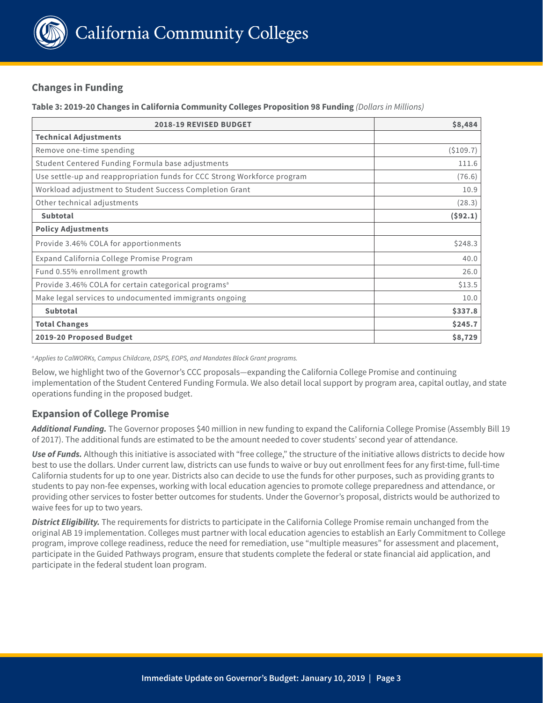

## **Changes in Funding**

#### **Table 3: 2019-20 Changes in California Community Colleges Proposition 98 Funding** *(Dollars in Millions)*

| <b>2018-19 REVISED BUDGET</b>                                            | \$8,484  |
|--------------------------------------------------------------------------|----------|
| <b>Technical Adjustments</b>                                             |          |
| Remove one-time spending                                                 | (5109.7) |
| Student Centered Funding Formula base adjustments                        | 111.6    |
| Use settle-up and reappropriation funds for CCC Strong Workforce program | (76.6)   |
| Workload adjustment to Student Success Completion Grant                  | 10.9     |
| Other technical adjustments                                              | (28.3)   |
| <b>Subtotal</b>                                                          | (592.1)  |
| <b>Policy Adjustments</b>                                                |          |
| Provide 3.46% COLA for apportionments                                    | \$248.3  |
| Expand California College Promise Program                                | 40.0     |
| Fund 0.55% enrollment growth                                             | 26.0     |
| Provide 3.46% COLA for certain categorical programs <sup>a</sup>         | \$13.5   |
| Make legal services to undocumented immigrants ongoing                   | 10.0     |
| Subtotal                                                                 | \$337.8  |
| <b>Total Changes</b>                                                     | \$245.7  |
| 2019-20 Proposed Budget                                                  | \$8,729  |

*a Applies to CalWORKs, Campus Childcare, DSPS, EOPS, and Mandates Block Grant programs.*

Below, we highlight two of the Governor's CCC proposals—expanding the California College Promise and continuing implementation of the Student Centered Funding Formula. We also detail local support by program area, capital outlay, and state operations funding in the proposed budget.

### **Expansion of College Promise**

*Additional Funding.* The Governor proposes \$40 million in new funding to expand the California College Promise (Assembly Bill 19 of 2017). The additional funds are estimated to be the amount needed to cover students' second year of attendance.

*Use of Funds.* Although this initiative is associated with "free college," the structure of the initiative allows districts to decide how best to use the dollars. Under current law, districts can use funds to waive or buy out enrollment fees for any first-time, full-time California students for up to one year. Districts also can decide to use the funds for other purposes, such as providing grants to students to pay non-fee expenses, working with local education agencies to promote college preparedness and attendance, or providing other services to foster better outcomes for students. Under the Governor's proposal, districts would be authorized to waive fees for up to two years.

*District Eligibility.* The requirements for districts to participate in the California College Promise remain unchanged from the original AB 19 implementation. Colleges must partner with local education agencies to establish an Early Commitment to College program, improve college readiness, reduce the need for remediation, use "multiple measures" for assessment and placement, participate in the Guided Pathways program, ensure that students complete the federal or state financial aid application, and participate in the federal student loan program.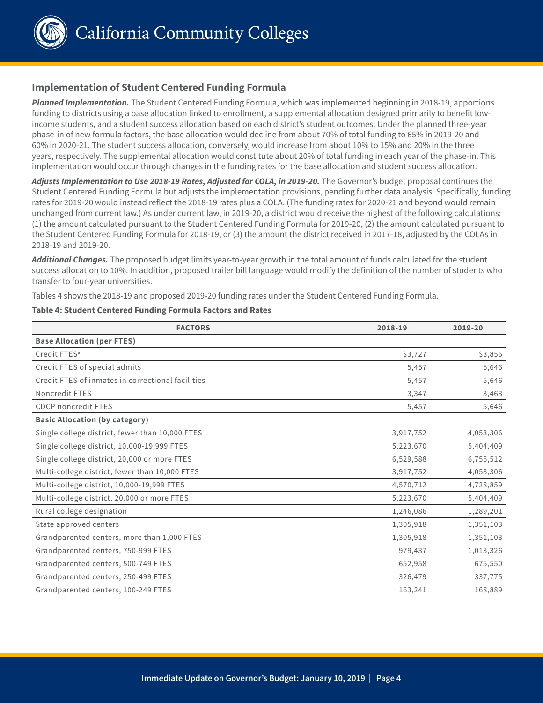

California Community Colleges

#### **Implementation of Student Centered Funding Formula**

*Planned Implementation.* The Student Centered Funding Formula, which was implemented beginning in 2018-19, apportions funding to districts using a base allocation linked to enrollment, a supplemental allocation designed primarily to benefit lowincome students, and a student success allocation based on each district's student outcomes. Under the planned three-year phase-in of new formula factors, the base allocation would decline from about 70% of total funding to 65% in 2019-20 and 60% in 2020-21. The student success allocation, conversely, would increase from about 10% to 15% and 20% in the three years, respectively. The supplemental allocation would constitute about 20% of total funding in each year of the phase-in. This implementation would occur through changes in the funding rates for the base allocation and student success allocation.

*Adjusts Implementation to Use 2018-19 Rates, Adjusted for COLA, in 2019-20.* The Governor's budget proposal continues the Student Centered Funding Formula but adjusts the implementation provisions, pending further data analysis. Specifically, funding rates for 2019-20 would instead reflect the 2018-19 rates plus a COLA. (The funding rates for 2020-21 and beyond would remain unchanged from current law.) As under current law, in 2019-20, a district would receive the highest of the following calculations: (1) the amount calculated pursuant to the Student Centered Funding Formula for 2019-20, (2) the amount calculated pursuant to the Student Centered Funding Formula for 2018-19, or (3) the amount the district received in 2017-18, adjusted by the COLAs in 2018-19 and 2019-20.

*Additional Changes.* The proposed budget limits year-to-year growth in the total amount of funds calculated for the student success allocation to 10%. In addition, proposed trailer bill language would modify the definition of the number of students who transfer to four-year universities.

Tables 4 shows the 2018-19 and proposed 2019-20 funding rates under the Student Centered Funding Formula.

# **Table 4: Student Centered Funding Formula Factors and Rates**

| <b>FACTORS</b>                                    | 2018-19   | 2019-20   |
|---------------------------------------------------|-----------|-----------|
| <b>Base Allocation (per FTES)</b>                 |           |           |
| Credit FTES <sup>a</sup>                          | \$3,727   | \$3,856   |
| Credit FTES of special admits                     | 5,457     | 5,646     |
| Credit FTES of inmates in correctional facilities | 5,457     | 5,646     |
| Noncredit FTES                                    | 3,347     | 3,463     |
| <b>CDCP</b> noncredit FTES                        | 5,457     | 5,646     |
| <b>Basic Allocation (by category)</b>             |           |           |
| Single college district, fewer than 10,000 FTES   | 3,917,752 | 4,053,306 |
| Single college district, 10,000-19,999 FTES       | 5,223,670 | 5,404,409 |
| Single college district, 20,000 or more FTES      | 6,529,588 | 6,755,512 |
| Multi-college district, fewer than 10,000 FTES    | 3,917,752 | 4,053,306 |
| Multi-college district, 10,000-19,999 FTES        | 4,570,712 | 4,728,859 |
| Multi-college district, 20,000 or more FTES       | 5,223,670 | 5,404,409 |
| Rural college designation                         | 1,246,086 | 1,289,201 |
| State approved centers                            | 1,305,918 | 1,351,103 |
| Grandparented centers, more than 1,000 FTES       | 1,305,918 | 1,351,103 |
| Grandparented centers, 750-999 FTES               | 979,437   | 1,013,326 |
| Grandparented centers, 500-749 FTES               | 652,958   | 675,550   |
| Grandparented centers, 250-499 FTES               | 326,479   | 337,775   |
| Grandparented centers, 100-249 FTES               | 163,241   | 168,889   |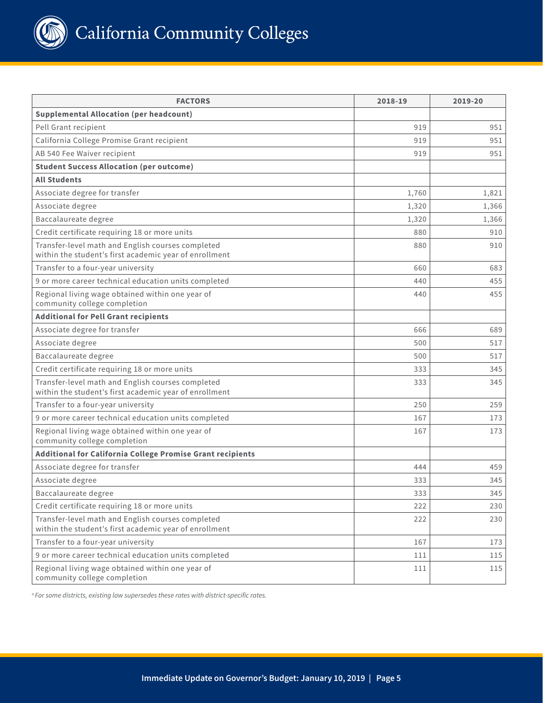

| <b>FACTORS</b>                                                                                              | 2018-19 | 2019-20 |
|-------------------------------------------------------------------------------------------------------------|---------|---------|
| <b>Supplemental Allocation (per headcount)</b>                                                              |         |         |
| Pell Grant recipient                                                                                        | 919     | 951     |
| California College Promise Grant recipient                                                                  | 919     | 951     |
| AB 540 Fee Waiver recipient                                                                                 | 919     | 951     |
| <b>Student Success Allocation (per outcome)</b>                                                             |         |         |
| <b>All Students</b>                                                                                         |         |         |
| Associate degree for transfer                                                                               | 1,760   | 1,821   |
| Associate degree                                                                                            | 1,320   | 1,366   |
| Baccalaureate degree                                                                                        | 1,320   | 1.366   |
| Credit certificate requiring 18 or more units                                                               | 880     | 910     |
| Transfer-level math and English courses completed<br>within the student's first academic year of enrollment | 880     | 910     |
| Transfer to a four-year university                                                                          | 660     | 683     |
| 9 or more career technical education units completed                                                        | 440     | 455     |
| Regional living wage obtained within one year of<br>community college completion                            | 440     | 455     |
| <b>Additional for Pell Grant recipients</b>                                                                 |         |         |
| Associate degree for transfer                                                                               | 666     | 689     |
| Associate degree                                                                                            | 500     | 517     |
| Baccalaureate degree                                                                                        | 500     | 517     |
| Credit certificate requiring 18 or more units                                                               | 333     | 345     |
| Transfer-level math and English courses completed<br>within the student's first academic year of enrollment | 333     | 345     |
| Transfer to a four-year university                                                                          | 250     | 259     |
| 9 or more career technical education units completed                                                        | 167     | 173     |
| Regional living wage obtained within one year of<br>community college completion                            | 167     | 173     |
| Additional for California College Promise Grant recipients                                                  |         |         |
| Associate degree for transfer                                                                               | 444     | 459     |
| Associate degree                                                                                            | 333     | 345     |
| Baccalaureate degree                                                                                        | 333     | 345     |
| Credit certificate requiring 18 or more units                                                               | 222     | 230     |
| Transfer-level math and English courses completed<br>within the student's first academic year of enrollment | 222     | 230     |
| Transfer to a four-year university                                                                          | 167     | 173     |
| 9 or more career technical education units completed                                                        | 111     | 115     |
| Regional living wage obtained within one year of<br>community college completion                            | 111     | 115     |

*a For some districts, existing law supersedes these rates with district-specific rates.*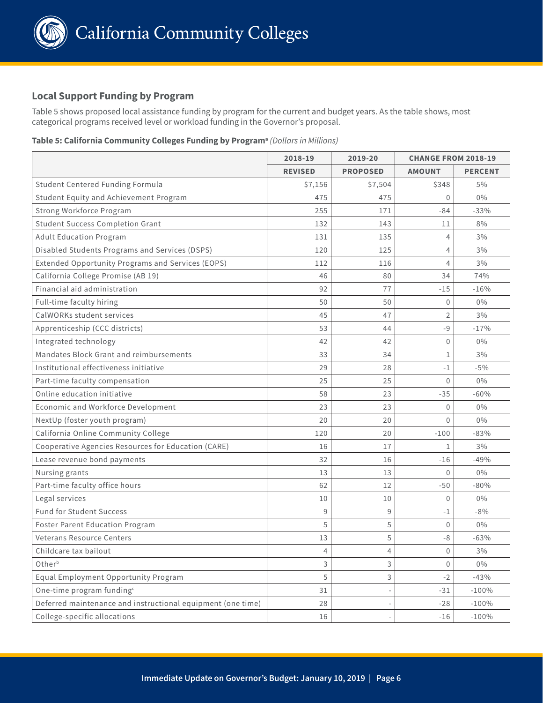

### **Local Support Funding by Program**

Table 5 shows proposed local assistance funding by program for the current and budget years. As the table shows, most categorical programs received level or workload funding in the Governor's proposal.

#### **Table 5: California Community Colleges Funding by Programa** *(Dollars in Millions)*

|                                                             | 2018-19<br>2019-20 |                 | <b>CHANGE FROM 2018-19</b> |                |
|-------------------------------------------------------------|--------------------|-----------------|----------------------------|----------------|
|                                                             | <b>REVISED</b>     | <b>PROPOSED</b> | <b>AMOUNT</b>              | <b>PERCENT</b> |
| Student Centered Funding Formula                            | \$7,156            | \$7,504         | \$348                      | 5%             |
| Student Equity and Achievement Program                      | 475                | 475             | 0                          | $0\%$          |
| Strong Workforce Program                                    | 255                | 171             | $-84$                      | $-33%$         |
| <b>Student Success Completion Grant</b>                     | 132                | 143             | 11                         | 8%             |
| <b>Adult Education Program</b>                              | 131                | 135             | 4                          | 3%             |
| Disabled Students Programs and Services (DSPS)              | 120                | 125             | 4                          | 3%             |
| Extended Opportunity Programs and Services (EOPS)           | 112                | 116             | 4                          | 3%             |
| California College Promise (AB 19)                          | 46                 | 80              | 34                         | 74%            |
| Financial aid administration                                | 92                 | 77              | $-15$                      | $-16%$         |
| Full-time faculty hiring                                    | 50                 | 50              | $\theta$                   | $0\%$          |
| CalWORKs student services                                   | 45                 | 47              | $\overline{2}$             | 3%             |
| Apprenticeship (CCC districts)                              | 53                 | 44              | $-9$                       | $-17%$         |
| Integrated technology                                       | 42                 | 42              | $\mathbf{0}$               | $0\%$          |
| Mandates Block Grant and reimbursements                     | 33                 | 34              | 1                          | 3%             |
| Institutional effectiveness initiative                      | 29                 | 28              | $-1$                       | $-5%$          |
| Part-time faculty compensation                              | 25                 | 25              | $\overline{0}$             | $0\%$          |
| Online education initiative                                 | 58                 | 23              | $-35$                      | $-60%$         |
| Economic and Workforce Development                          | 23                 | 23              | 0                          | $0\%$          |
| NextUp (foster youth program)                               | 20                 | 20              | $\Omega$                   | $0\%$          |
| California Online Community College                         | 120                | 20              | $-100$                     | $-83%$         |
| Cooperative Agencies Resources for Education (CARE)         | 16                 | 17              | 1                          | 3%             |
| Lease revenue bond payments                                 | 32                 | 16              | $-16$                      | $-49%$         |
| Nursing grants                                              | 13                 | 13              | $\theta$                   | $0\%$          |
| Part-time faculty office hours                              | 62                 | 12              | $-50$                      | $-80%$         |
| Legal services                                              | 10                 | 10              | $\mathbf{0}$               | $0\%$          |
| <b>Fund for Student Success</b>                             | 9                  | 9               | $-1$                       | $-8%$          |
| <b>Foster Parent Education Program</b>                      | 5                  | 5               | $\mathbf 0$                | $0\%$          |
| <b>Veterans Resource Centers</b>                            | 13                 | 5               | $-8$                       | $-63%$         |
| Childcare tax bailout                                       | 4                  | 4               | $\mathsf{O}\xspace$        | $3\%$          |
| Otherb                                                      | 3                  | 3               | $\Omega$                   | $0\%$          |
| Equal Employment Opportunity Program                        | 5                  | 3               | $-2$                       | $-43%$         |
| One-time program funding <sup>c</sup>                       | 31                 |                 | $-31$                      | $-100%$        |
| Deferred maintenance and instructional equipment (one time) | 28                 |                 | $-28$                      | $-100%$        |
| College-specific allocations                                | 16                 |                 | $-16$                      | $-100%$        |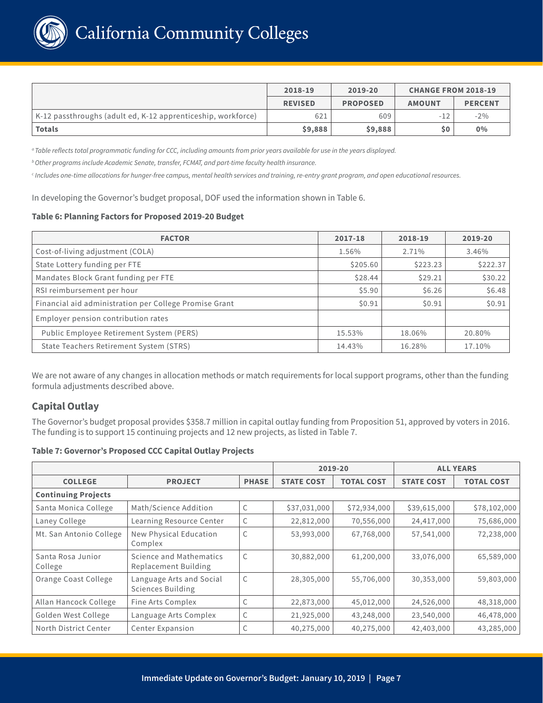

|                                                              | 2018-19        | 2019-20         | <b>CHANGE FROM 2018-19</b> |                |
|--------------------------------------------------------------|----------------|-----------------|----------------------------|----------------|
|                                                              | <b>REVISED</b> | <b>PROPOSED</b> | <b>AMOUNT</b>              | <b>PERCENT</b> |
| K-12 passthroughs (adult ed, K-12 apprenticeship, workforce) | 621            | 609             | $-12$                      | $-2\%$         |
| <b>Totals</b>                                                | \$9,888        | \$9,888         | \$0                        | 0%             |

*a Table reflects total programmatic funding for CCC, including amounts from prior years available for use in the years displayed.* 

*b Other programs include Academic Senate, transfer, FCMAT, and part-time faculty health insurance.* 

*c Includes one-time allocations for hunger-free campus, mental health services and training, re-entry grant program, and open educational resources.* 

In developing the Governor's budget proposal, DOF used the information shown in Table 6.

#### **Table 6: Planning Factors for Proposed 2019-20 Budget**

| <b>FACTOR</b>                                          | 2017-18  | 2018-19  | 2019-20  |
|--------------------------------------------------------|----------|----------|----------|
| Cost-of-living adjustment (COLA)                       | 1.56%    | 2.71%    | 3.46%    |
| State Lottery funding per FTE                          | \$205.60 | \$223.23 | \$222.37 |
| Mandates Block Grant funding per FTE                   | \$28.44  | \$29.21  | \$30.22  |
| RSI reimbursement per hour                             | \$5.90   | \$6.26   | \$6.48   |
| Financial aid administration per College Promise Grant | \$0.91   | \$0.91   | \$0.91   |
| Employer pension contribution rates                    |          |          |          |
| Public Employee Retirement System (PERS)               | 15.53%   | 18.06%   | 20.80%   |
| State Teachers Retirement System (STRS)                | 14.43%   | 16.28%   | 17.10%   |

We are not aware of any changes in allocation methods or match requirements for local support programs, other than the funding formula adjustments described above.

### **Capital Outlay**

The Governor's budget proposal provides \$358.7 million in capital outlay funding from Proposition 51, approved by voters in 2016. The funding is to support 15 continuing projects and 12 new projects, as listed in Table 7.

#### **Table 7: Governor's Proposed CCC Capital Outlay Projects**

|                              |                                                      | 2019-20      |                   | <b>ALL YEARS</b>  |                   |                   |
|------------------------------|------------------------------------------------------|--------------|-------------------|-------------------|-------------------|-------------------|
| <b>COLLEGE</b>               | <b>PROJECT</b>                                       | <b>PHASE</b> | <b>STATE COST</b> | <b>TOTAL COST</b> | <b>STATE COST</b> | <b>TOTAL COST</b> |
| <b>Continuing Projects</b>   |                                                      |              |                   |                   |                   |                   |
| Santa Monica College         | Math/Science Addition                                | C            | \$37,031,000      | \$72,934,000      | \$39,615,000      | \$78,102,000      |
| Laney College                | Learning Resource Center                             | C            | 22,812,000        | 70,556,000        | 24,417,000        | 75,686,000        |
| Mt. San Antonio College      | New Physical Education<br>Complex                    | C            | 53,993,000        | 67,768,000        | 57,541,000        | 72,238,000        |
| Santa Rosa Junior<br>College | Science and Mathematics<br>Replacement Building      | $\mathsf{C}$ | 30,882,000        | 61,200,000        | 33,076,000        | 65,589,000        |
| Orange Coast College         | Language Arts and Social<br><b>Sciences Building</b> | C            | 28,305,000        | 55,706,000        | 30,353,000        | 59,803,000        |
| Allan Hancock College        | Fine Arts Complex                                    | C            | 22,873,000        | 45,012,000        | 24,526,000        | 48,318,000        |
| Golden West College          | Language Arts Complex                                | C            | 21,925,000        | 43,248,000        | 23,540,000        | 46,478,000        |
| North District Center        | Center Expansion                                     | C            | 40,275,000        | 40,275,000        | 42,403,000        | 43,285,000        |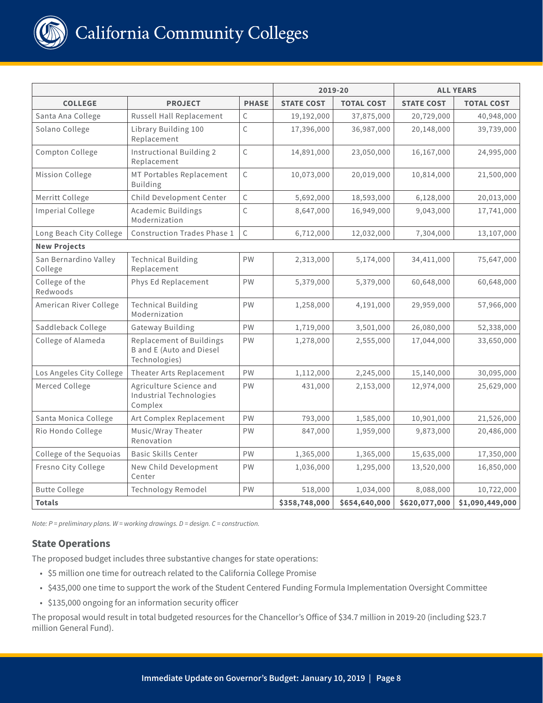

|                                  |                                                                                     |              | 2019-20           |                   | <b>ALL YEARS</b>  |                   |
|----------------------------------|-------------------------------------------------------------------------------------|--------------|-------------------|-------------------|-------------------|-------------------|
| <b>COLLEGE</b>                   | <b>PROJECT</b>                                                                      | <b>PHASE</b> | <b>STATE COST</b> | <b>TOTAL COST</b> | <b>STATE COST</b> | <b>TOTAL COST</b> |
| Santa Ana College                | Russell Hall Replacement                                                            | $\mathsf C$  | 19,192,000        | 37,875,000        | 20,729,000        | 40,948,000        |
| Solano College                   | Library Building 100<br>Replacement                                                 | $\mathsf C$  | 17,396,000        | 36,987,000        | 20,148,000        | 39,739,000        |
| Compton College                  | Instructional Building 2<br>Replacement                                             | $\mathsf{C}$ | 14,891,000        | 23,050,000        | 16,167,000        | 24,995,000        |
| Mission College                  | MT Portables Replacement<br><b>Building</b>                                         | C            | 10,073,000        | 20,019,000        | 10,814,000        | 21,500,000        |
| Merritt College                  | Child Development Center                                                            | $\mathsf{C}$ | 5,692,000         | 18,593,000        | 6,128,000         | 20,013,000        |
| <b>Imperial College</b>          | <b>Academic Buildings</b><br>Modernization                                          | $\mathsf C$  | 8,647,000         | 16,949,000        | 9,043,000         | 17,741,000        |
| Long Beach City College          | <b>Construction Trades Phase 1</b>                                                  | $\mathsf C$  | 6,712,000         | 12,032,000        | 7,304,000         | 13,107,000        |
| <b>New Projects</b>              |                                                                                     |              |                   |                   |                   |                   |
| San Bernardino Valley<br>College | <b>Technical Building</b><br>Replacement                                            | PW           | 2,313,000         | 5,174,000         | 34,411,000        | 75,647,000        |
| College of the<br>Redwoods       | Phys Ed Replacement                                                                 | PW           | 5,379,000         | 5,379,000         | 60,648,000        | 60,648,000        |
| American River College           | <b>Technical Building</b><br>Modernization                                          | PW           | 1,258,000         | 4,191,000         | 29,959,000        | 57,966,000        |
| Saddleback College               | Gateway Building                                                                    | PW           | 1,719,000         | 3,501,000         | 26,080,000        | 52,338,000        |
| College of Alameda               | <b>Replacement of Buildings</b><br><b>B</b> and E (Auto and Diesel<br>Technologies) | PW           | 1,278,000         | 2,555,000         | 17,044,000        | 33,650,000        |
| Los Angeles City College         | Theater Arts Replacement                                                            | PW           | 1,112,000         | 2,245,000         | 15,140,000        | 30,095,000        |
| Merced College                   | Agriculture Science and<br>Industrial Technologies<br>Complex                       | PW           | 431,000           | 2,153,000         | 12,974,000        | 25,629,000        |
| Santa Monica College             | Art Complex Replacement                                                             | PW           | 793,000           | 1,585,000         | 10,901,000        | 21,526,000        |
| Rio Hondo College                | Music/Wray Theater<br>Renovation                                                    | PW           | 847,000           | 1,959,000         | 9,873,000         | 20,486,000        |
| College of the Sequoias          | <b>Basic Skills Center</b>                                                          | PW           | 1,365,000         | 1,365,000         | 15,635,000        | 17,350,000        |
| Fresno City College              | New Child Development<br>Center                                                     | <b>PW</b>    | 1,036,000         | 1,295,000         | 13,520,000        | 16,850,000        |
| <b>Butte College</b>             | Technology Remodel                                                                  | PW           | 518,000           | 1,034,000         | 8,088,000         | 10,722,000        |
| <b>Totals</b>                    |                                                                                     |              | \$358,748,000     | \$654,640,000     | \$620,077,000     | \$1,090,449,000   |

*Note: P = preliminary plans. W = working drawings. D = design. C = construction.* 

## **State Operations**

The proposed budget includes three substantive changes for state operations:

- \$5 million one time for outreach related to the California College Promise
- \$435,000 one time to support the work of the Student Centered Funding Formula Implementation Oversight Committee
- \$135,000 ongoing for an information security officer

The proposal would result in total budgeted resources for the Chancellor's Office of \$34.7 million in 2019-20 (including \$23.7 million General Fund).